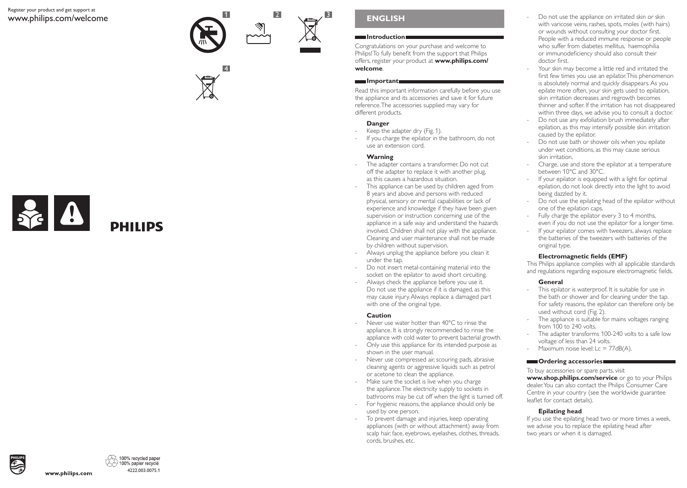### Register your product and get support at www.philips.com/welcome







# **ENGLISH**

### **Introduction**

Congratulations on your purchase and welcome to Philips! To fully benefit from the support that Philips offers, register your product at **www.philips.com/ welcome**.

### **Important**

Read this important information carefully before you use the appliance and its accessories and save it for future reference. The accessories supplied may vary for different products.

### **Danger**

- Keep the adapter dry (Fig. 1).
- If you charge the epilator in the bathroom, do not use an extension cord.

### **Warning**

- The adapter contains a transformer. Do not cut off the adapter to replace it with another plug, as this causes a hazardous situation.
- This appliance can be used by children aged from 8 years and above and persons with reduced physical, sensory or mental capabilities or lack of experience and knowledge if they have been given supervision or instruction concerning use of the appliance in a safe way and understand the hazards involved. Children shall not play with the appliance. Cleaning and user maintenance shall not be made by children without supervision.
- Always unplug the appliance before you clean it under the tap.
- Do not insert metal-containing material into the socket on the epilator to avoid short circuiting.
- Always check the appliance before you use it. Do not use the appliance if it is damaged, as this may cause injury. Always replace a damaged part with one of the original type.

### **Caution**

- Never use water hotter than 40°C to rinse the appliance. It is strongly recommended to rinse the appliance with cold water to prevent bacterial growth.
- Only use this appliance for its intended purpose as shown in the user manual.
- Never use compressed air, scouring pads, abrasive cleaning agents or aggressive liquids such as petrol or acetone to clean the appliance.
- Make sure the socket is live when you charge the appliance. The electricity supply to sockets in bathrooms may be cut off when the light is turned off.
- For hygienic reasons, the appliance should only be used by one person.
- To prevent damage and injuries, keep operating appliances (with or without attachment) away from scalp hair, face, eyebrows, eyelashes, clothes, threads, cords, brushes, etc.
- Do not use the appliance on irritated skin or skin with varicose veins, rashes, spots, moles (with hairs) or wounds without consulting your doctor first. People with a reduced immune response or people who suffer from diabetes mellitus, haemophilia or immunodeficiency should also consult their doctor first.
- Your skin may become a little red and irritated the first few times you use an epilator. This phenomenon is absolutely normal and quickly disappears. As you epilate more often, your skin gets used to epilation, skin irritation decreases and regrowth becomes thinner and softer. If the irritation has not disappeared within three days, we advise you to consult a doctor.
- Do not use any exfoliation brush immediately after epilation, as this may intensify possible skin irritation caused by the epilator.
- Do not use bath or shower oils when you epilate under wet conditions, as this may cause serious skin irritation.
- Charge, use and store the epilator at a temperature between 10°C and 30°C.
- If your epilator is equipped with a light for optimal epilation, do not look directly into the light to avoid being dazzled by it.
- Do not use the epilating head of the epilator without one of the epilation caps.
- Fully charge the epilator every 3 to 4 months, even if you do not use the epilator for a longer time.
- If your epilator comes with tweezers, always replace the batteries of the tweezers with batteries of the original type.

# **Electromagnetic fields (EMF)**

This Philips appliance complies with all applicable standards and regulations regarding exposure electromagnetic fields.

# **General**

- This epilator is waterproof. It is suitable for use in the bath or shower and for cleaning under the tap. For safety reasons, the epilator can therefore only be used without cord (Fig. 2).
- The appliance is suitable for mains voltages ranging from 100 to 240 volts.
- The adapter transforms 100-240 volts to a safe low voltage of less than 24 volts.
- Maximum noise level: Lc = 77dB(A).

# **Condering accessories**

To buy accessories or spare parts, visit **www.shop.philips.com/service** or go to your Philips dealer. You can also contact the Philips Consumer Care Centre in your country (see the worldwide guarantee leaflet for contact details).

# **Epilating head**

If you use the epilating head two or more times a week, we advise you to replace the epilating head after two years or when it is damaged.



www.philips.com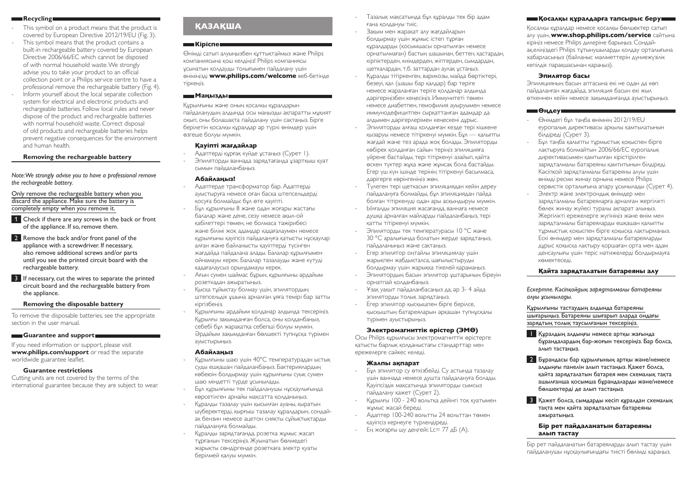### **Recycling**

- This symbol on a product means that the product is covered by European Directive 2012/19/EU (Fig. 3).
- This symbol means that the product contains a built-in rechargeable battery covered by European Directive 2006/66/EC which cannot be disposed of with normal household waste. We strongly advise you to take your product to an official collection point or a Philips service centre to have a professional remove the rechargeable battery (Fig. 4).
- Inform yourself about the local separate collection system for electrical and electronic products and rechargeable batteries. Follow local rules and never dispose of the product and rechargeable batteries with normal household waste. Correct disposal of old products and rechargeable batteries helps prevent negative consequences for the environment and human health.

### **Removing the rechargeable battery**

*Note: We strongly advise you to have a professional remove the rechargeable battery.* 

Only remove the rechargeable battery when you discard the appliance. Make sure the battery is completely empty when you remove it.

- 1 Check if there are any screws in the back or front of the appliance. If so, remove them.
- 2 Remove the back and/or front panel of the appliance with a screwdriver. If necessary, also remove additional screws and/or parts until you see the printed circuit board with the rechargeable battery.

3 If necessary, cut the wires to separate the printed circuit board and the rechargeable battery from the appliance.

#### **Removing the disposable battery**

To remove the disposable batteries, see the appropriate section in the user manual.

### **Guarantee and support**

If you need information or support, please visit **www.philips.com/support** or read the separate worldwide guarantee leaflet.

### **Guarantee restrictions**

Cutting units are not covered by the terms of the international guarantee because they are subject to wear.

# **ҚАЗАҚША**

### **ПЕКІРІСПЕКТЕР**

Өнімді сатып алуыңызбен құттықтаймыз және Philips компаниясына қош келдіңіз! Philips компаниясы ұсынатын қолдауды толығымен пайдалану үшін өніміңізді **www.philips.com/welcome** веб-бетінде тіркеңіз.

### **Маңызды**

Құрылғыны және оның қосалқы құралдарын пайдаланудың алдында осы маңызды ақпаратты мұқият оқып, оны болашақта пайдалану үшін сақтаңыз. Бірге берілетін қосалқы құралдар әр түрлі өнімдер үшін өзгеше болуы мүмкін.

### **Қауіпті жағдайлар**

- Адаптерді құрғақ күйде ұстаңыз (Cурет 1). - Эпиляторды ваннада зарядтағанда ұзартқыш қуат сымын пайдаланбаңыз.

#### **Абайлаңыз!**

- Адаптерде трансформатор бар. Адаптерді ауыстыруға немесе оған басқа штепсельдерді қосуға болмайды: бұл өте қауіпті.
- Бұл құрылғыны 8 және одан жоғары жастағы балалар және дене, сезу немесе ақыл-ой қабілеттері төмен, не болмаса тәжірибесі және білімі жоқ адамдар қадағалаумен немесе құрылғыны қауіпсіз пайдалануға қатысты нұсқаулар алған және байланысты қауіптерді түсінген жағдайда пайдалана алады. Балалар құрылғымен ойнамауы керек. Балалар тазалауды және күтуді қадағалаусыз орындамауы керек.
- Ағын сумен шаймас бұрын, құрылғыны әрдайым розеткадан ажыратыңыз.
- Қысқа тұйықтау болмау үшін, эпилятордың штепсельдік ұшына арналған ұяға темірі бар затты кіргізбеңіз.
- Құрылғыны әрдайым қолданар алдында тексеріңіз. Құрылғы зақымданған болса, оны қолданбаңыз, себебі бұл жарақатқа себепші болуы мүмкін. Әрдайым зақымданған бөлшекті түпнұсқа түрімен ауыстырыңыз.

#### **Абайлаңыз**

- Құрылғыны шаю үшін 40°C температурадан ыстық суды ешқашан пайдаланбаңыз. Бактериялардың көбеюін болдырмау үшін құрылғыны суық сумен шаю міндетті түрде ұсынылады.
- Бұл құрылғыны тек пайдаланушы нұсқаулығында көрсетілген арнайы мақсатта қолданыңыз.
- Құралды тазалау үшін қысылған ауаны, қыратын шүберектерді, қырғыш тазалау құралдарын, сондайақ бензин немесе ацетон сияқты сұйықтықтарды пайдалануға болмайды.
- Құралды зарядтағанда, розетка жұмыс жасап тұрғанын тексеріңіз. Жуынатын бөлмедегі жарықты сөндіргенде розеткаға электр қуаты берілмей қалуы мүмкін.
- Тазалық мақсатында бұл құралды тек бір адам ғана қолдануы тиіс.
- Зақым мен жарақат алу жағдайларын болдырмау үшін жұмыс істеп тұрған құралдарды (қосымшасы орнатылған немесе орнатылмаған) бастың шашынан, беттен, қастардан, кірпіктерден, киімдерден, жіптерден, сымдардан, щеткалардан, т.б. заттардан аулақ ұстаңыз.
- Құралды тітіркенген, варикозы, майда бөртіктері, безеуі, қал (шашы бар қалдар) бар теріге немесе жараланған теріге қолданар алдында дәрігеріңізбен кеңесіңіз. Иммунитеті төмен немесе диабетпен, гемофилия ауыруымен немесе иммунодефицитпен сырқаттанған адамдар да алдымен дәрігерлерімен кеңескені дұрыс.
- Эпиляторды алғаш қолданған кезде тері кішкене қызаруы немесе тітіркенуі мүмкін. Бұл — қалыпты жағдай және тез арада жоқ болады. Эпиляторды көбірек қолданған сайын теріңіз эпиляцияға үйрене бастайды, тері тітіркенуі азайып, қайта өскен түктер жұқа және жұмсақ бола бастайды. Егер үш күн ішінде терінің тітіркенуі басылмаса, дәрігерге көрінгеніңіз жөн.
- Түлеген тері щеткасын эпиляциядан кейін дереу пайдалануға болмайды, бұл эпиляциядан пайда болған тітіркенуді одан ары асқындыруы мүмкін.
- Ылғалды эпиляция жасағанда, ваннаға немесе душқа арналған майларды пайдаланбаңыз, тері қатты тітіркенуі мүмкін.
- Эпиляторды тек температурасы 10 °C және 30 °C аралығында болатын жерде зарядтаңыз, пайдаланыңыз және сақтаңыз.
- Егер эпилятор оңтайлы эпиляциялау үшін жарықпен жабдықталса, шағылыстыруды болдырмау үшін жарыққа тікелей қарамаңыз.
- Эпилятордың басын эпилятор ұштарының біреуін орнатпай қолданбаңыз.
- Ұзақ уақыт пайдаланбасаңыз да, әр 3- 4 айда эпиляторды толық зарядтаңыз.
- Егер эпилятор қысқышпен бірге берілсе, қысқыштың батареяларын әрқашан түпнұсқалы түрімен ауыстырыңыз.

#### **Электромагниттік өрістер (ЭМӨ)**

Осы Philips құрылғысы электромагниттік өрістерге қатысты барлық қолданыстағы стандарттар мен ережелерге сәйкес келеді.

#### **Жалпы ақпарат**

- Бұл эпилятор су өткізбейді. Су астында тазалау үшін ваннада немесе душта пайдалануға болады. Қауіпсіздік мақсатында эпиляторды сымсыз пайдалану қажет (Cурет 2).
- Құрылғы 100 240 вольтқа дейінгі тоқ қуатымен жұмыс жасай береді.
- Адаптер 100-240 вольтты 24 вольттан төмен қауіпсіз кернеуге түрлендіреді.
- Ең жоғарғы шу деңгейі: Lc= 77 дБ (A).

### **Қосалқы құралдарға тапсырыс беру**

Қосалқы құралдар немесе қосалқы бөлшектер сатып алу үшін, **www.shop.philips.com/service** сайтына кіріңіз немесе Philips дилеріне барыңыз. Сондайақ,еліңіздегі Philips тұтынушыларды қолдау орталығына хабарласыңыз (байланыс мәліметтерін дүниежүзілік кепілдік парақшасынан қараңыз).

#### **Эпилятор басы**

Эпиляцияның басын аптасына екі не одан да көп пайдаланған жағдайда, эпиляция басын екі жыл өткеннен кейін немесе зақымданғанда ауыстырыңыз.

### **Өңдеу**

- Өнімдегі бұл таңба өнімнің 2012/19/EU еуропалық директивасы арқылы қамтылатынын білдіреді (Cурет 3).
- Бұл таңба қалыпты тұрмыстық қоқыспен бірге лақтыруға болмайтын 2006/66/EC еуропалық директивасымен қамтылған кірістірілген зарядталмалы батареяны қамтитынын білдіреді. Кәсіпқой зарядталмалы батареяны алуы үшін өнімді ресми жинау орнына немесе Philips сервистік орталығына апару ұсынылады (Cурет 4).
- Электр және электрондық өнімдер мен зарядталмалы батареяларға арналған жергілікті бөлек жинау жүйесі туралы ақпарат алыңыз. Жергілікті ережелерге жүгініңіз және өнім мен зарядталмалы батареяларды ешқашан қалыпты тұрмыстық қоқыспен бірге қоқысқа лақтырмаңыз. Ескі өнімдер мен зарядталмалы батареяларды дұрыс қоқысқа лақтыру қоршаған орта мен адам денсаулығы үшін теріс нәтижелерді болдырмауға көмектеседі.

### **Қайта зарядталатын батареяны алу**

*Ескертпе. Кәсіпқойдың зарядталмалы батареяны алуы ұсынылады.* 

Құрылғыны тастаудың алдында батареяны шығарыңыз. Батареяны шығарып аларда ондағы зарядтың толық таусылғанын тексеріңіз.

- 1 Құралдың алдыңғы немесе артқы жағында бұрандалардың бар-жоғын тексеріңіз. Бар болса, алып тастаңыз.
- 2 Бұрандасы бар құрылғының артқы және/немесе алдыңғы панелін алып тастаңыз. Қажет болса, қайта зарядталатын батарея мен схемалық тақта ашылғанша қосымша бұрандаларды және/немесе бөлшектерді де алып тастаңыз.
- 3 Қажет болса, сымдарды кесіп құралдан схемалық тақта мен қайта зарядталатын батареяны ажыратыңыз.

### **Бір рет пайдаланатын батареяны алып тастау**

Бір рет пайдаланатын батареяларды алып тастау үшін пайдаланушы нұсқаулығындағы тиісті бөлімді қараңыз.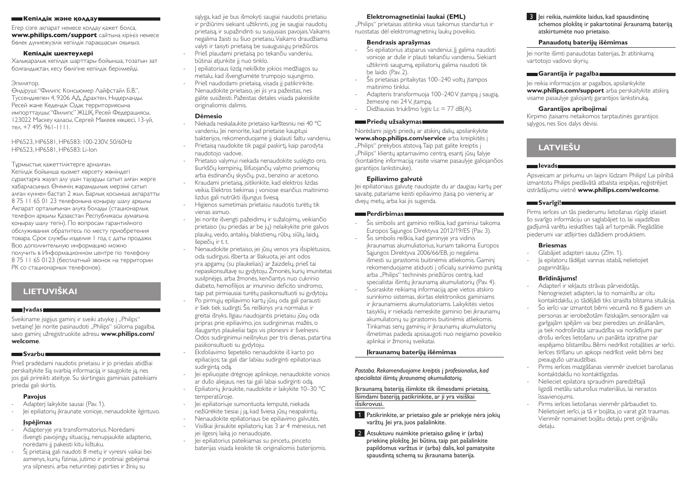#### **ШЕКепілдік және қолдаушек**

Егер сізге ақпарат немесе қолдау қажет болса, **www.philips.com/support** сайтына кіріңіз немесе бөлек дүниежүзілік кепілдік парақшасын оқыңыз.

### **Кепілдік шектеулері**

Халықаралық кепілдік шарттары бойынша, тозатын зат болғандықтан, кесу бөлігіне кепілдік берілмейді.

### Эпилятор.

Өндіруші: "Филипс Консьюмер Лайфстайл Б.В.", Туссендиепен 4, 9206 АД, Драхтен, Нидерланды. Ресей және Кедендік Одақ территориясына импорттаушы: "Филипс" ЖШҚ, Ресей Федерациясы, 123022 Мәскеу қаласы, Сергей Макеев көшесі, 13-үй, тел. +7 495 961-1111.

### HP6523, HP6581, HP6583: 100-230V, 50/60Hz HP6523, HP6581, HP6583: Li-Ion

Тұрмыстық қажеттіліктерге арналған. Кепiлдiк бойынша қызмет көрсету жөніндегі сұрақтарға жауап алу үшін тауарды сатып алған жерге хабарласыңыз. Өнімнің жарамдылық мерзімі сатып алған күннен бастап 2 жыл. Барлық қосымша ақпаратты 8 75 11 65 01 23 телефонына қоңырау шалу арқылы Ақпарат орталығынан алуға болады (стационарлық телефон арқылы Қазақстан Республикасы аумағына қоңырау шалу тегін). По вопросам гарантийного обслуживания обратитесь по месту приобретения товара. Срок службы изделия 1 год с даты продажи. Всю дополнительную информацию можно получить в Информационном центре по телефону 8 75 11 65 0123 (бесплатный звонок на территории РК со стационарных телефонов).

# **LIETUVIŠKAI**

### **Įvadas**

Sveikiname įsigijus gaminį ir sveiki atvykę į "Philips" svetainę! Jei norite pasinaudoti "Philips" siūloma pagalba, savo gaminį užregistruokite adresu **www.philips.com/ welcome**.

# **Svarbu**

Prieš pradėdami naudotis prietaisu ir jo priedais atidžiai perskaitykite šią svarbią informaciją ir saugokite ją, nes jos gali prireikti ateityje. Su skirtingais gaminiais pateikiami priedai gali skirtis.

# **Pavojus**

- Adapterį laikykite sausai (Pav. 1).
- Jei epiliatorių įkraunate vonioje, nenaudokite ilgintuvo.

# **Įspėjimas**

- Adapteryje yra transformatorius. Norėdami išvengti pavojingų situacijų, nenupjaukite adapterio, norėdami jį pakeisti kitu kištuku.
- Šį prietaisą gali naudoti 8 metų ir vyresni vaikai bei asmenys, kurių fiziniai, jutimo ir protiniai gebėjimai yra silpnesni, arba neturintieji patirties ir žinių su

sąlyga, kad jie bus išmokyti saugiai naudotis prietaisu ir prižiūrimi siekiant užtikrinti, jog jie saugiai naudotų prietaisą, ir supažindinti su susijusiais pavojais. Vaikams negalima žaisti su šiuo prietaisu. Vaikams draudžiama valyti ir taisyti prietaisą be suaugusiųjų priežiūros. - Prieš plaudami prietaisą po tekančiu vandeniu,

- būtinai atjunkite jį nuo tinklo. - Į epiliatoriaus lizdą nekiškite jokios medžiagos su
- metalu, kad išvengtumėte trumpojo sujungimo. Prieš naudodami prietaisą, visada jį patikrinkite. Nenaudokite prietaiso, jei jis yra pažeistas, nes
- galite susižeisti. Pažeistas detales visada pakeiskite originaliomis dalimis.

## **Dėmesio**

- Niekada neskalaukite prietaiso karštesniu nei 40 °C vandeniu. Jei nenorite, kad prietaise kauptųsi bakterijos, rekomenduojame jį skalauti šaltu vandeniu.
- Prietaisą naudokite tik pagal paskirtį, kaip parodyta naudotojo vadove.
- Prietaiso valymui niekada nenaudokite suslėgto oro, šiurkščių kempinių, šlifuojančių valymo priemonių arba ėsdinančių skysčių, pvz., benzino ar acetono.
- Kraudami prietaisą, įsitikinkite, kad elektros lizdas veikia. Elektros tiekimas į voniose esančius maitinimo lizdus gali nutrūkti išjungus šviesą.
- Higienos sumetimais prietaisu naudotis turėtų tik vienas asmuo.
- Jei norite išvengti pažeidimų ir sužalojimų, veikiančio prietaiso (su priedais ar be jų) nelaikykite prie galvos plaukų, veido, antakių, blakstienų, rūbų, siūlų, laidų, šepečių ir t. t.
- Nenaudokite prietaiso, jei jūsų venos yra išsiplėtusios, oda sudirgusi, išberta ar šlakuota, jei ant odos yra apgamų (su plaukeliais) ar žaizdelių, prieš tai nepasikonsultavę su gydytoju. Žmonės, kurių imunitetas susilpnėjęs, arba žmonės, kenčiantys nuo cukrinio diabeto, hemofilijos ar imuninio deficito sindromo, taip pat pirmiausiai turėtų pasikonsultuoti su gydytoju.
- Po pirmųjų epiliavimo kartų jūsų oda gali parausti ir šiek tiek sudirgti. Šis reiškinys yra normalus ir greitai išnyks. Ilgiau naudojantis prietaisu jūsų oda pripras prie epiliavimo, jos sudirginimas mažės, o išaugantys plaukeliai taps vis plonesni ir švelnesni. Odos sudirginimui neišnykus per tris dienas, patartina pasikonsultuoti su gydytoju.
- Eksfoliavimo šepetėlio nenaudokite iš karto po epiliacijos; tai gali dar labiau sudirginti epiliatoriaus sudirgintą odą.
- lei epiliuojate drėgnoje aplinkoje, nenaudokite vonios ar dušo aliejaus, nes tai gali labai sudirginti odą.
- Epiliatorių įkraukite, naudokite ir laikykite 10–30 °C temperatūroje.
- lei epiliatoriuje sumontuota lemputė, niekada nežiūrėkite tiesiai į ją, kad šviesa jūsų neapakintų.
- Nenaudokite epiliatoriaus be epiliavimo galvutės. - Visiškai įkraukite epiliatorių kas 3 ar 4 mėnesius, net
- jei ilgesnį laiką jo nenaudojate. - Jei epiliatorius pateikiamas su pincetu, pinceto
- baterijas visada keiskite tik originaliomis baterijomis.

# **Elektromagnetiniai laukai (EML)**

"Philips" prietaisas atitinka visus taikomus standartus ir nuostatas dėl elektromagnetinių laukų poveikio.

# **Bendrasis aprašymas**

- Šis epiliatorius atsparus vandeniui. Jį galima naudoti vonioje ar duše ir plauti tekančiu vandeniu. Siekiant užtikrinti saugumą, epiliatorių galima naudoti tik be laido (Pav. 2).
- Šis prietaisas pritaikytas 100–240 voltų įtampos maitinimo tinklui.
- Adapteris transformuoja 100–240 V įtampą į saugią, žemesnę nei 24 V, įtampą.
- Didžiausias triukšmo lygis: Lc = 77 dB(A).

## **Priedų užsakymas**

Norėdami įsigyti priedų ar atskirų dalių, apsilankykite **www.shop.philips.com/service** arba kreipkitės į "Philips" prekybos atstovą. Taip pat galite kreiptis į "Philips" klientų aptarnavimo centrą, esantį jūsų šalyje (kontaktinę informaciją rasite visame pasaulyje galiojančios garantijos lankstinuke).

### **Epiliavimo galvutė**

Jei epiliatoriaus galvutę naudojate du ar daugiau kartų per savaitę, patariame keisti epiliavimo įtaisą po vienerių ar dvejų metų, arba kai jis sugenda.

### **Perdirbimas**

- Šis simbolis ant gaminio reiškia, kad gaminiui taikoma Europos Sąjungos Direktyva 2012/19/ES (Pav. 3).
- Šis simbolis reiškia, kad gaminyje yra vidinis įkraunamas akumuliatorius, kuriam taikoma Europos Sąjungos Direktyva 2006/66/EB, jo negalima išmesti su įprastomis buitinėmis atliekomis. Gaminį rekomenduojame atiduoti į oficialų surinkimo punktą arba "Philips" techninės priežiūros centrą, kad specialistai išimtų įkraunamą akumuliatorių (Pav. 4).
- Susiraskite reikiamą informaciją apie vietos atskiro surinkimo sistemas, skirtas elektronikos gaminiams ir įkraunamiems akumuliatoriams. Laikykitės vietos taisyklių ir niekada nemeskite gaminio bei įkraunamų akumuliatorių su įprastomis buitinėmis atliekomis. Tinkamas senų gaminių ir įkraunamų akumuliatorių išmetimas padeda apsisaugoti nuo neigiamo poveikio aplinkai ir žmonių sveikatai.

### **Įkraunamų baterijų išėmimas**

*Pastaba. Rekomenduojame kreiptis į profesionalus, kad specialistai išimtų įkraunamą akumuliatorių.* 

Įkraunamą bateriją išimkite tik išmesdami prietaisą. Išimdami bateriją patikrinkite, ar ji yra visiškai išsikrovusi.

- 1 Patikrinkite, ar prietaiso gale ar priekyje nėra jokių varžtų. Jei yra, juos pašalinkite.
- 2 Atsuktuvu nuimkite prietaiso galinę ir (arba) priekinę plokštę. Jei būtina, taip pat pašalinkite papildomus varžtus ir (arba) dalis, kol pamatysite spausdintą schemą su įkraunama baterija.

**3** lei reikia, nuimkite laidus, kad spausdintine schemos plokštę ir pakartotinai įkraunamą bateriją atskirtumėte nuo prietaiso.

### **Panaudotų baterijų išėmimas**

Jei norite išimti panaudotas baterijas, žr. atitinkamą vartotojo vadovo skyrių.

### **Garantija ir pagalba**

Jei reikia informacijos ar pagalbos, apsilankykite **www.philips.com/support** arba perskaitykite atskirą visame pasaulyje galiojantį garantijos lankstinuką.

### **Garantijos apribojimai**

Kirpimo įtaisams netaikomos tarptautinės garantijos sąlygos, nes šios dalys dėvisi.

# **LATVIEŠU**

### **Ievads**

Apsveicam ar pirkumu un laipni lūdzam Philips! Lai pilnībā izmantotu Philips piedāvātā atbalsta iespējas, reģistrējiet izstrādājumu vietnē **www.philips.com/welcome**.

# **Svarīgi!**

Pirms ierīces un tās piederumu lietošanas rūpīgi izlasiet šo svarīgo informāciju un saglabājiet to, lai vajadzības gadījumā varētu ieskatīties tajā arī turpmāk. Piegādātie piederumi var atšķirties dažādiem produktiem.

## **Briesmas**

- Glabājiet adapteri sausu (Zīm. 1).
- la epilatoru lādējat vannas istabā, nelietojiet pagarinātāju.

# **Brīdinājums!**

- Adapterī ir iekļauts strāvas pārveidotājs. Nenogrieziet adapteri, lai to nomainītu ar citu kontaktdakšu, jo tādējādi tiks izraisīta bīstama situācija.
- Šo ierīci var izmantot bērni vecumā no 8 gadiem un personas ar ierobežotām fiziskajām, sensorajām vai garīgajām spējām vai bez pieredzes un zināšanām, ja tiek nodrošināta uzraudzība vai norādījumi par drošu ierīces lietošanu un panākta izpratne par iespējamo bīstamību. Bērni nedrīkst rotaļāties ar ierīci. Ierīces tīrīšanu un apkopi nedrīkst veikt bērni bez pieaugušo uzraudzības.
- Pirms ierīces mazgāšanas vienmēr izvelciet barošanas kontaktdakšu no kontaktligzdas.
- Nelieciet epilatora spraudnim paredzētajā ligzdā metālu saturošus materiālus, lai nerastos īssavienojums.
- Pirms ierīces lietošanas vienmēr pārbaudiet to. Nelietojiet ierīci, ja tā ir bojāta, jo varat gūt traumas. Vienmēr nomainiet bojātu detaļu pret oriģinālu detaļu.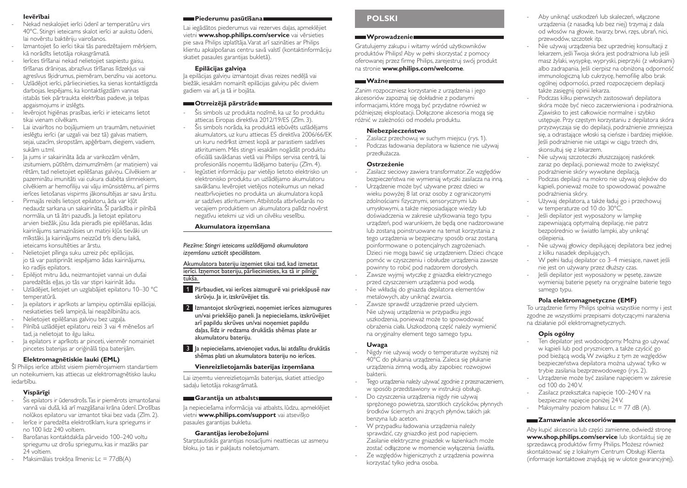### **Ievērībai**

- Nekad neskalojiet ierīci ūdenī ar temperatūru virs 40°C. Stingri ieteicams skalot ierīci ar aukstu ūdeni, lai novērstu baktēriju vairošanos.
- Izmantojiet šo ierīci tikai tās paredzētajiem mērķiem, kā norādīts lietotāja rokasgrāmatā.
- Ierīces tīrīšanai nekad nelietojiet saspiestu gaisu, tīrīšanas drāniņas, abrazīvus tīrīšanas līdzekļus vai agresīvus šķidrumus, piemēram, benzīnu vai acetonu.
- Uzlādējot ierīci, pārliecinieties, ka sienas kontaktligzda darbojas. Iespējams, ka kontaktligzdām vannas istabās tiek pārtraukta elektrības padeve, ja telpas apgaismojums ir izslēgts.
- Ievērojot higiēnas prasības, ierīci ir ieteicams lietot tikai vienam cilvēkam.
- Lai izvairītos no bojājumiem un traumām, netuviniet ieslēgtu ierīci (ar uzgali vai bez tā) galvas matiem, sejai, uzacīm, skropstām, apģērbam, diegiem, vadiem, sukām u.tml.
- Ja jums ir sakairināta āda ar varikozām vēnām, izsitumiem, pūtītēm, dzimumzīmēm (ar matiņiem) vai rētām, tad nelietojiet epilēšanas galviņu. Cilvēkiem ar pazeminātu imunitāti vai cukura diabēta slimniekiem, cilvēkiem ar hemofiliju vai vāju imūnsistēmu, arī pirms ierīces lietošanas vispirms jākonsultējas ar savu ārstu.
- Pirmajās reizēs lietojot epilatoru, āda var kļūt nedaudz sarkana un sakairināta. Šī parādība ir pilnībā normāla, un tā ātri pazudīs. Ja lietojat epilatoru arvien biežāk, jūsu āda pieradīs pie epilēšanas, ādas kairinājums samazināsies un matiņi kļūs tievāki un mīkstāki. Ja kairinājums neizzūd trīs dienu laikā, ieteicams konsultēties ar ārstu.
- Nelietojiet pīlinga suku uzreiz pēc epilācijas, jo tā var pastiprināt iespējamo ādas kairinājumu, ko radījis epilators.
- Epilējot mitru ādu, neizmantojiet vannai un dušai paredzētās eļļas, jo tās var stipri kairināt ādu.
- Uzlādējiet, lietojiet un uzglabājiet epilatoru 10–30 °C temperatūrā.
- Ja epilators ir aprīkots ar lampiņu optimālai epilācijai, neskatieties tieši lampiņā, lai neapžilbinātu acis.
- Nelietojiet epilēšanas galviņu bez uzgaļa.
- Pilnībā uzlādējiet epilatoru reizi 3 vai 4 mēnešos arī tad, ja nelietojat to ilgu laiku.
- la epilators ir aprīkots ar pinceti, vienmēr nomainiet pincetes baterijas ar oriģinālā tipa baterijām.

### **Elektromagnētiskie lauki (EML)**

Šī Philips ierīce atbilst visiem piemērojamiem standartiem un noteikumiem, kas attiecas uz elektromagnētisko lauku iedarbību.

# **Vispārīgi**

- Šis epilators ir ūdensdrošs. Tas ir piemērots izmantošanai vannā vai dušā, kā arī mazgāšanai krāna ūdenī. Drošības nolūkos epilatoru var izmantot tikai bez vada (Zīm. 2).
- Ierīce ir paredzēta elektrotīklam, kura spriegums ir no 100 lidz 240 voltiem.
- Barošanas kontaktdakša pārveido 100–240 voltu spriegumu uz drošu spriegumu, kas ir mazāks par 24 voltiem.
- Maksimālais trokšņa līmenis: Lc = 77dB(A)

### **Piederumu pasūtīšana**

Lai iegādātos piederumus vai rezerves daļas, apmeklējiet vietni **www.shop.philips.com/service** vai vērsieties pie sava Philips izplatītāja. Varat arī sazināties ar Philips klientu apkalpošanas centru savā valstī (kontaktinformāciju skatiet pasaules garantijas bukletā).

### **Epilācijas galviņa**

Ja epilācijas galviņu izmantojat divas reizes nedēļā vai biežāk, iesakām nomainīt epilācijas galviņu pēc diviem gadiem vai arī, ja tā ir bojāta.

### **Otrreizējā pārstrāde**

- Šis simbols uz produkta nozīmē, ka uz šo produktu attiecas Eiropas direktīva 2012/19/ES (Zīm. 3).
- Šis simbols norāda, ka produktā iebūvēts uzlādējams akumulators, uz kuru attiecas ES direktīva 2006/66/EK un kuru nedrīkst izmest kopā ar parastiem sadzīves atkritumiem. Mēs stingri iesakām nogādāt produktu oficiālā savākšanas vietā vai Philips servisa centrā, lai profesionālis noņemtu lādējamo bateriju (Zīm. 4).
	- Iegūstiet informāciju par vietējo lietoto elektrisko un elektronisko produktu un uzlādējamo akumulatoru savākšanu. Ievērojiet vietējos noteikumus un nekad neatbrīvojieties no produkta un akumulatora kopā ar sadzīves atkritumiem. Atbilstoša atbrīvošanās no vecajiem produktiem un akumulatora palīdz novērst negatīvu ietekmi uz vidi un cilvēku veselību.

### **Akumulatora izņemšana**

*Piezīme: Stingri ieteicams uzlādējamā akumulatora izņemšanu uzticēt speciālistam.* 

### Akumulatora bateriju izņemiet tikai tad, kad izmetat ierīci. Izņemot bateriju, pārliecinieties, ka tā ir pilnīgi tukša.

- 1 Pārbaudiet, vai ierīces aizmugurē vai priekšpusē nav skrūvju. Ja ir, izskrūvējiet tās.
- 2 Izmantojot skrūvgriezi, noņemiet ierīces aizmugures un/vai priekšējo paneli. Ja nepieciešams, izskrūvējiet arī papildu skrūves un/vai noņemiet papildu daļas, līdz ir redzama drukātās shēmas plate ar akumulatoru bateriju.
- 3 Ja nepieciešams, atvienojiet vadus, lai atdalītu drukātās shēmas plati un akumulatora bateriju no ierīces.

### **Vienreizlietojamās baterijas izņemšana**

Lai izņemtu vienreizlietojamās baterijas, skatiet attiecīgo sadaļu lietotāja rokasgrāmatā.

### **Garantija un atbalsts**

Ja nepieciešama informācija vai atbalsts, lūdzu, apmeklējiet vietni **www.philips.com/support** vai atsevišķo pasaules garantijas bukletu.

### **Garantijas ierobežojumi**

Starptautiskās garantijas nosacījumi neattiecas uz asmeņu bloku, jo tas ir pakļauts nolietojumam.

# **POLSKI**

### **Wprowadzenie**

Gratulujemy zakupu i witamy wśród użytkowników produktów Philips! Aby w pełni skorzystać z pomocy oferowanej przez firmę Philips, zarejestruj swój produkt na stronie **www.philips.com/welcome**.

### **Ważne**

Zanim rozpoczniesz korzystanie z urządzenia i jego akcesoriów zapoznaj się dokładnie z podanymi informacjami, które mogą być przydatne również w późniejszej eksploatacji. Dołączone akcesoria mogą się różnić w zależności od modelu produktu.

### **Niebezpieczeństwo**

- Zasilacz przechowuj w suchym miejscu (rys. 1).
- Podczas ładowania depilatora w łazience nie używaj przedłużacza.

### **Ostrzeżenie**

- Zasilacz sieciowy zawiera transformator. Ze względów bezpieczeństwa nie wymieniaj wtyczki zasilacza na inną.
- Urządzenie może być używane przez dzieci w wieku powyżej 8 lat oraz osoby z ograniczonymi zdolnościami fizycznymi, sensorycznymi lub umysłowymi, a także nieposiadające wiedzy lub doświadczenia w zakresie użytkowania tego typu urządzeń, pod warunkiem, że będą one nadzorowane lub zostaną poinstruowane na temat korzystania z tego urządzenia w bezpieczny sposób oraz zostaną poinformowane o potencjalnych zagrożeniach. Dzieci nie mogą bawić się urządzeniem. Dzieci chcące pomóc w czyszczeniu i obsłudze urządzenia zawsze powinny to robić pod nadzorem dorosłych.
- Zawsze wyjmij wtyczkę z gniazdka elektrycznego przed czyszczeniem urządzenia pod wodą.
- Nie wkładaj do gniazda depilatora elementów metalowych, aby uniknąć zwarcia.
- Zawsze sprawdź urządzenie przed użyciem. Nie używaj urządzenia w przypadku jego uszkodzenia, ponieważ może to spowodować obrażenia ciała. Uszkodzoną część należy wymienić na oryginalny element tego samego typu.

### **Uwaga**

- Nigdy nie używaj wody o temperaturze wyższej niż 40°C do płukania urządzenia. Zaleca się płukanie urządzenia zimną wodą, aby zapobiec rozwojowi bakterii.
- Tego urządzenia należy używać zgodnie z przeznaczeniem, w sposób przedstawiony w instrukcji obsługi.
- Do czyszczenia urządzenia nigdy nie używaj sprężonego powietrza, szorstkich czyścików, płynnych środków ściernych ani żrących płynów, takich jak benzyna lub aceton.
- W przypadku ładowania urządzenia należy sprawdzić, czy gniazdko jest pod napięciem. Zasilanie elektryczne gniazdek w łazienkach może zostać odłączone w momencie wyłączenia światła.
- Ze względów higienicznych z urządzenia powinna korzystać tylko jedna osoba.
- Aby uniknąć uszkodzeń lub skaleczeń, włączone urządzenia (z nasadką lub bez niej) trzymaj z dala od włosów na głowie, twarzy, brwi, rzęs, ubrań, nici, przewodów, szczotek itp.
- Nie używaj urządzenia bez uprzedniej konsultacji z lekarzem, jeśli Twoja skóra jest podrażniona lub jeśli masz żylaki, wysypkę, wypryski, pieprzyki (z włoskami) albo zadrapania. Jeśli cierpisz na obniżoną odporność immunologiczną lub cukrzycę, hemofilię albo brak ogólnej odporności, przed rozpoczęciem depilacji także zasięgnij opinii lekarza.
- Podczas kilku pierwszych zastosowań depilatora skóra może być nieco zaczerwieniona i podrażniona. Zjawisko to jest całkowicie normalne i szybko ustępuje. Przy częstym korzystaniu z depilatora skóra przyzwyczaja się do depilacji, podrażnienie zmniejsza się, a odrastające włoski są cieńsze i bardziej miękkie. Jeśli podrażnienie nie ustąpi w ciągu trzech dni, skonsultuj się z lekarzem.
- Nie używaj szczoteczki złuszczającej naskórek zaraz po depilacji, ponieważ może to zwiększyć podrażnienie skóry wywołane depilacją.
- Podczas depilacji na mokro nie używaj olejków do kąpieli, ponieważ może to spowodować poważne podrażnienia skóry.
- Używaj depilatora, a także ładuj go i przechowuj w temperaturze od 10 do 30°C.
- leśli depilator jest wyposażony w lampkę zapewniającą optymalną depilację, nie patrz bezpośrednio w światło lampki, aby uniknąć oślepienia.
- Nie używaj głowicy depilującej depilatora bez jednej z kilku nasadek depilujących.
- W pełni ładuj depilator co 3–4 miesiące, nawet jeśli nie jest on używany przez dłuższy czas.
- leśli depilator jest wyposażony w pęsetę, zawsze wymieniaj baterie pęsety na oryginalne baterie tego samego typu.

### **Pola elektromagnetyczne (EMF)**

To urządzenie firmy Philips spełnia wszystkie normy i jest zgodne ze wszystkimi przepisami dotyczącymi narażenia na działanie pól elektromagnetycznych.

### **Opis ogólny**

- Ten depilator jest wodoodporny. Można go używać w kąpieli lub pod prysznicem, a także czyścić go pod bieżącą wodą. W związku z tym ze względów bezpieczeństwa depilatora można używać tylko w trybie zasilania bezprzewodowego (rys. 2).
- Urządzenie może być zasilane napięciem w zakresie od 100 do 240V.
- Zasilacz przekształca napięcie 100–240V na bezpieczne napięcie poniżej 24V.
- Maksymalny poziom hałasu: Lc = 77 dB  $(A)$ .

### **Zamawianie akcesoriów**

Aby kupić akcesoria lub części zamienne, odwiedź stronę **www.shop.philips.com/service** lub skontaktuj się ze sprzedawcą produktów firmy Philips. Możesz również skontaktować się z lokalnym Centrum Obsługi Klienta (informacje kontaktowe znajdują się w ulotce gwarancyjnej).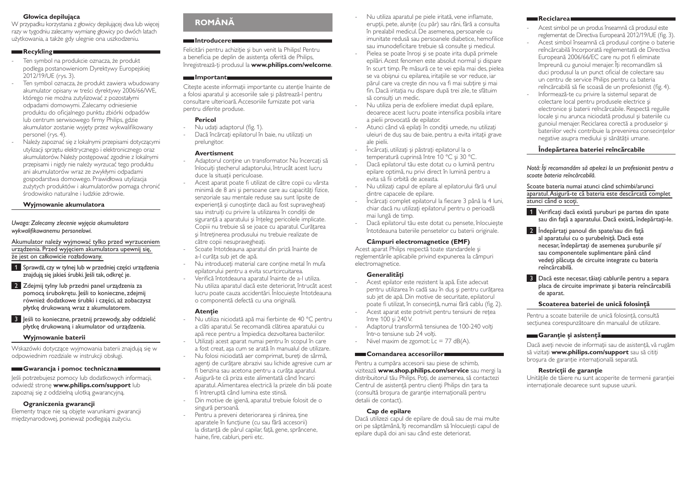### **Głowica depilująca**

W przypadku korzystania z głowicy depilującej dwa lub więcej razy w tygodniu zalecamy wymianę głowicy po dwóch latach użytkowania, a także gdy ulegnie ona uszkodzeniu.

### **Recykling**

- Ten symbol na produkcie oznacza, że produkt podlega postanowieniom Dyrektywy Europejskiej 2012/19/UE (rys. 3).
- Ten symbol oznacza, że produkt zawiera wbudowany akumulator opisany w treści dyrektywy 2006/66/WE, którego nie można zutylizować z pozostałymi odpadami domowymi. Zalecamy odniesienie produktu do oficjalnego punktu zbiórki odpadów lub centrum serwisowego firmy Philips, gdzie akumulator zostanie wyjęty przez wykwalifikowany personel (rys. 4).
- Należy zapoznać się z lokalnymi przepisami dotyczącymi utylizacji sprzętu elektrycznego i elektronicznego oraz akumulatorów. Należy postępować zgodnie z lokalnymi przepisami i nigdy nie należy wyrzucać tego produktu ani akumulatorów wraz ze zwykłymi odpadami gospodarstwa domowego. Prawidłowa utylizacja zużytych produktów i akumulatorów pomaga chronić środowisko naturalne i ludzkie zdrowie.

### **Wyjmowanie akumulatora**

*Uwaga: Zalecamy zlecenie wyjęcia akumulatora wykwalifikowanemu personelowi.* 

Akumulator należy wyjmować tylko przed wyrzuceniem urządzenia. Przed wyjęciem akumulatora upewnij się, że jest on całkowicie rozładowany.

1 Sprawdź, czy w tylnej lub w przedniej części urządzenia znajdują się jakieś śrubki. Jeśli tak, odkręć je.

- 2 Zdejmij tylny lub przedni panel urządzenia za pomocą śrubokrętu. Jeśli to konieczne, zdejmij również dodatkowe śrubki i części, aż zobaczysz płytkę drukowaną wraz z akumulatorem.
- 3 Jeśli to konieczne, przetnij przewody, aby oddzielić płytkę drukowaną i akumulator od urządzenia.

### **Wyjmowanie baterii**

Wskazówki dotyczące wyjmowania baterii znajdują się w odpowiednim rozdziale w instrukcji obsługi.

#### **Gwarancja i pomoc techniczna**

Jeśli potrzebujesz pomocy lub dodatkowych informacji, odwiedź stronę **www.philips.com/support** lub zapoznaj się z oddzielną ulotką gwarancyjną.

### **Ograniczenia gwarancji**

Elementy tnące nie są objęte warunkami gwarancji międzynarodowej, ponieważ podlegają zużyciu.

# **ROMÂNĂ**

### **Introducere**

Felicitări pentru achizitie și bun venit la Philips! Pentru a beneficia pe deplin de asistenta oferită de Philips, înregistrează-ţi produsul la **www.philips.com/welcome**.

# **Important**

Citeste aceste informatii importante cu atentie înainte de a folosi aparatul şi accesoriile sale şi păstrează-l pentru consultare ulterioară. Accesoriile furnizate pot varia pentru diferite produse.

### **Pericol**

- Nu udati adaptorul (fig. 1).
- Dacă încărcați epilatorul în baie, nu utilizați un prelungitor.

#### **Avertisment**

- Adaptorul contine un transformator. Nu încercati să înlocuiti ștecherul adaptorului, întrucât acest lucru duce la situatii periculoase.
- Acest aparat poate fi utilizat de către copii cu vârsta minimă de 8 ani și persoane care au capacități fizice, senzoriale sau mentale reduse sau sunt lipsite de experientă și cunoștințe dacă au fost supravegheați sau instruiți cu privire la utilizarea în condiții de siguranță a aparatului și înțeleg pericolele implicate. Copiii nu trebuie să se joace cu aparatul. Curătarea şi întreţinerea produsului nu trebuie realizate de către copii nesupravegheati.
- Scoate întotdeauna aparatul din priză înainte de a-l curăta sub jet de apă.
- Nu introduceți material care conține metal în mufa epilatorului pentru a evita scurtcircuitarea.
- Verifică întotdeauna aparatul înainte de a-l utiliza. Nu utiliza aparatul dacă este deteriorat, întrucât acest lucru poate cauza accidentări. Înlocuieşte întotdeauna o componentă defectă cu una originală.

### **Atenţie**

- Nu utiliza niciodată apă mai fierbinte de 40 °C pentru a clăti aparatul. Se recomandă clătirea aparatului cu apă rece pentru a împiedica dezvoltarea bacteriilor.
- Utilizati acest aparat numai pentru în scopul în care a fost creat, aşa cum se arată în manualul de utilizare.
- Nu folosi niciodată aer comprimat, bureți de sârmă, agenti de curătare abrazivi sau lichide agresive cum ar
- fi benzina sau acetona pentru a curăta aparatul. - Asigură-te că priza este alimentată când încarci aparatul. Alimentarea electrică la prizele din băi poate fi întreruptă când lumina este stinsă.
- Din motive de igienă, aparatul trebuie folosit de o singură persoană.
- Pentru a preveni deteriorarea și rănirea, tine aparatele în funcţiune (cu sau fără accesorii) la distantă de părul capilar, fată, gene, sprâncene, haine, fire, cabluri, perii etc.
- Nu utiliza aparatul pe piele iritată, vene inflamate, erupții, pete, alunițe (cu păr) sau răni, fără a consulta în prealabil medicul. De asemenea, persoanele cu imunitate redusă sau persoanele diabetice, hemofilice sau imunodeficitare trebuie să consulte şi medicul.
- Pielea se poate înroși și se poate irita după primele epilări. Acest fenomen este absolut normal şi dispare în scurt timp. Pe măsură ce te vei epila mai des, pielea se va obișnui cu epilarea, iritațiile se vor reduce, iar părul care va crește din nou va fi mai subțire și mai fin. Dacă iritația nu dispare după trei zile, te sfătuim să consulti un medic.
- Nu utiliza peria de exfoliere imediat după epilare, deoarece acest lucru poate intensifica posibila iritare a pielii provocată de epilator.
- Atunci când vă epilaţi în condiţii umede, nu utilizaţi uleiuri de dus sau de baie, pentru a evita iritatii grave ale pielii.
- Încărcați, utilizați și păstrați epilatorul la o temperatură cuprinsă între 10 °C şi 30 °C.
- Dacă epilatorul tău este dotat cu o lumină pentru epilare optimă, nu privi direct în lumină pentru a evita să fii orbită de aceasta.
- Nu utilizati capul de epilare al epilatorului fără unul dintre capacele de epilare.
- Încărcați complet epilatorul la fiecare 3 până la 4 luni, chiar dacă nu utilizați epilatorul pentru o perioadă mai lungă de timp.
- Dacă epilatorul tău este dotat cu pensete, înlocuiește întotdeauna bateriile pensetelor cu baterii originale.

### **Câmpuri electromagnetice (EMF)**

Acest aparat Philips respectă toate standardele şi reglementările aplicabile privind expunerea la câmpuri electromagnetice.

### **Generalităţi**

- Acest epilator este rezistent la apă. Este adecvat pentru utilizarea în cadă sau în duș și pentru curătarea sub jet de apă. Din motive de securitate, epilatorul poate fi utilizat, în consecinţă, numai fără cablu (fig. 2).
- Acest aparat este potrivit pentru tensiuni de retea între 100 şi 240 V.
- Adaptorul transformă tensiunea de 100-240 volti într-o tensiune sub 24 volti.
- Nivel maxim de zgomot:  $Lc = 77$  dB(A).

### **Comandarea accesoriilor**

Pentru a cumpăra accesorii sau piese de schimb, vizitează **www.shop.philips.com/service** sau mergi la distribuitorul tău Philips. Poți, de asemenea, să contactezi Centrul de asistentă pentru clienți Philips din tara ta (consultă broșura de garanție internațională pentru detalii de contact).

### **Cap de epilare**

Dacă utilizezi capul de epilare de două sau de mai multe ori pe săptămână, îţi recomandăm să înlocuieşti capul de epilare după doi ani sau când este deteriorat.

### **Reciclarea**

- Acest simbol pe un produs înseamnă că produsul este reglementat de Directiva Europeană 2012/19/UE (fig. 3).
- Acest simbol înseamnă că produsul contine o baterie reîncărcabilă încorporată reglementată de Directiva Europeană 2006/66/EC care nu pot fi eliminate împreună cu gunoiul menajer. Îţi recomandăm să duci produsul la un punct oficial de colectare sau un centru de service Philips pentru ca bateria reîncărcabilă să fie scoasă de un profesionist (fig. 4).
- Informează-te cu privire la sistemul separat de colectare local pentru produsele electrice şi electronice şi baterii reîncărcabile. Respectă regulile locale şi nu arunca niciodată produsul şi bateriile cu gunoiul menajer. Reciclarea corectă a produselor şi bateriilor vechi contribuie la prevenirea consecintelor negative asupra mediului și sănătății umane.

### **Îndepărtarea bateriei reîncărcabile**

*Notă: Îţi recomandăm să apelezi la un profesionist pentru a scoate bateria reîncărcabilă.* 

Scoate bateria numai atunci când schimbi/arunci aparatul.Asigură-te că bateria este descărcată complet atunci când o scoti.

- 1 Verificați dacă există suruburi pe partea din spate sau din faţă a aparatului. Dacă există, îndepărtaţi-le.
- <sup>2</sup> Îndepărtați panoul din spate/sau din față al aparatului cu o şurubelniţă. Dacă este necesar, îndepărtați de asemenea suruburile și/ sau componentele suplimentare până când vedeți plăcuța de circuite integrate cu bateria reîncărcabilă.
- **3** Dacă este necesar, tăiați cablurile pentru a separa placa de circuite imprimate şi bateria reîncărcabilă de aparat.

### **Scoaterea bateriei de unică folosinţă**

Pentru a scoate bateriile de unică folosință, consultă secțiunea corespunzătoare din manualul de utilizare.

### **Garanţie şi asistenţă**

Dacă aveţi nevoie de informaţii sau de asistenţă, vă rugăm să vizitaţi **www.philips.com/support** sau să citiţi broșura de garanție internațională separată.

### **Restricţii de garanţie**

Unitățile de tăiere nu sunt acoperite de termenii garanției internationale deoarece sunt supuse uzurii.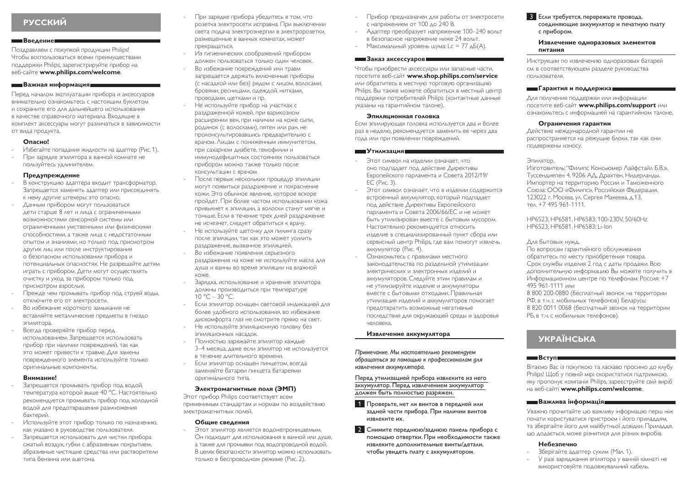# **РУССКИЙ**

#### **Введение**

Поздравляем с покупкой продукции Philips! Чтобы воспользоваться всеми преимуществами поддержки Philips, зарегистрируйте прибор на веб-сайте **www.philips.com/welcome**.

### **Важная информация**

Перед началом эксплуатации прибора и аксессуаров внимательно ознакомьтесь с настоящим буклетом и сохраните его для дальнейшего использования в качестве справочного материала. Входящие в комплект аксессуары могут различаться в зависимости от вида продукта.

### **Опасно!**

- Избегайте попадания жидкости на адаптер (Рис. 1).
- При зарядке эпилятора в ванной комнате не пользуйтесь удлинителем.

### **Предупреждение**

- В конструкцию адаптера входит трансформатор. Запрещается заменять адаптер или присоединять к нему другие штекеры: это опасно.
- Данным прибором могут пользоваться дети старше 8 лет и лица с ограниченными возможностями сенсорной системы или ограниченными умственными или физическими способностями, а также лица с недостаточным опытом и знаниями, но только под присмотром других лиц или после инструктирования о безопасном использовании прибора и потенциальных опасностях. Не разрешайте детям играть с прибором. Дети могут осуществлять очистку и уход за прибором только под присмотром взрослых.
- Прежде чем промывать прибор под струей воды, отключите его от электросети.
- Во избежание короткого замыкания не вставляйте металлические предметы в гнездо эпилятора.
- Всегда проверяйте прибор перед использованием. Запрещается использовать прибор при наличии повреждений, так как это может привести к травме. Для замены поврежденного элемента используйте только оригинальные компоненты.

#### **Внимание!**

- Запрешается промывать прибор под водой. температура которой выше 40 °C. Настоятельно рекомендуется промывать прибор под холодной водой для предотвращения размножения бактерий.
- Используйте этот прибор только по назначению, как указано в руководстве пользователя.
- Запрешается использовать для чистки прибора сжатый воздух, губки с абразивным покрытием, абразивные чистящие средства или растворители типа бензина или ацетона.
- При зарядке прибора убедитесь в том, что розетка электросети исправна. При выключении света подача электроэнергии в электророзетки, размещенные в ванных комнатах, может прекращаться.
	- Из гигиенических соображений прибором должен пользоваться только один человек.
	- Во избежание повреждений или травм запрещается держать включенные приборы (с насадкой или без) рядом с лицом, волосами, бровями, ресницами, одеждой, нитками, проводами, щетками и пр.
	- Не используйте прибор на участках с раздраженной кожей, при варикозном расширении вен, при наличии на коже сыпи, родинок (с волосками), пятен или ран, не проконсультировавшись предварительно с врачом. Лицам с пониженным иммунитетом, при сахарном диабете, гемофилии и иммунодефицитных состояниях пользоваться прибором можно также только после консультации с врачом.
	- После первых нескольких процедур эпиляции могут появиться раздражение и покраснение кожи. Это обычное явление, которое вскоре пройдет. При более частом использовании кожа привыкнет к эпиляции, а волоски станут мягче и тоньше. Если в течение трех дней раздражение не исчезнет, следует обратиться к врачу.
	- Не используйте щеточку для пилинга сразу после эпиляции, так как это может усилить раздражение, вызванное эпиляцией.
	- Во избежание появления серьезного раздражения на коже не используйте масла для душа и ванны во время эпиляции на влажной коже.
- Зарядка, использование и хранение эпилятора должны производиться при температуре  $10 °C - 30 °C$ .
- Если эпилятор оснащен световой индикацией для более удобного использования, во избежание дискомфорта глаз не смотрите прямо на свет. - Не используйте эпиляционную головку без
- эпиляционных насадок. - Полностью заряжайте эпилятор каждые
- 3–4 месяца, даже если эпилятор не используется в течение длительного времени.
- Если эпилятор оснащен пинцетом, всегда заменяйте батареи пинцета батареями оригинального типа.

### **Электромагнитные поля (ЭМП)**

Этот прибор Philips соответствует всем применимым стандартам и нормам по воздействию электромагнитных полей.

#### **Общие сведения**

- Этот эпилятор является водонепроницаемым. Он подходит для использования в ванной или душе, а также для промывки под водопроводной водой. В целях безопасности эпилятор можно использовать только в беспроводном режиме (Рис. 2).

- Прибор предназначен для работы от электросети с напряжением от 100 до 240 В.
- Адаптер преобразует напряжение 100–240 вольт в безопасное напряжение ниже 24 вольт.
- Максимальный уровень шума: Lc = 77  $\Delta$ Б(A).

### **Заказ аксессуаров**

Чтобы приобрести аксессуары или запасные части, посетите веб-сайт **www.shop.philips.com/service** или обратитесь в местную торговую организацию Philips. Вы также можете обратиться в местный центр поддержки потребителей Philips (контактные данные указаны на гарантийном талоне).

#### **Эпиляционная головка**

Если эпилирующая головка используется два и более раз в неделю, рекомендуется заменить ее через два года или при появлении повреждений.

#### **Утилизация**

- Этот символ на изделии означает, что оно подпадает под действие Директивы Европейского парламента и Совета 2012/19/ ЕС (Рис. 3).
- Этот символ означает, что в изделии содержится встроенный аккумулятор, который подпадает под действие Директивы Европейского парламента и Совета 2006/66/EC и не может быть утилизирован вместе с бытовым мусором. Настоятельно рекомендуется относить изделие в специализированный пункт сбора или сервисный центр Philips, где вам помогут извлечь аккумулятор (Рис. 4).
- Ознакомьтесь с правилами местного законодательства по раздельной утилизации электрических и электронных изделий и аккумуляторов. Следуйте этим правилам и не утилизируйте изделие и аккумуляторы вместе с бытовыми отходами. Правильная утилизация изделий и аккумуляторов помогает предотвратить возможные негативные последствия для окружающей среды и здоровья человека.

### **Извлечение аккумулятора**

*Примечание. Мы настоятельно рекомендуем обращаться за помощью к профессионалам для извлечения аккумулятора.* 

Перед утилизацией прибора извлеките из него аккумулятор. Перед извлечением аккумулятор должен быть полностью разряжен.

- 1 Проверьте, нет ли винтов в передней или задней части прибора. При наличии винтов извлеките их.
- 2 Снимите переднюю/заднюю панель прибора с помощью отвертки. При необходимости также извлеките дополнительные винты/детали, чтобы увидеть плату с аккумулятором.

### 3 Если требуется, перережьте провода, соединяющие аккумулятор и печатную плату с прибором.

#### **Извлечение одноразовых элементов питания**

Инструкции по извлечению одноразовых батарей см. в соответствующем разделе руководства пользователя.

### **Гарантия и поддержка**

Для получения поддержки или информации посетите веб-сайт **www.philips.com/support** или ознакомьтесь с информацией на гарантийном талоне.

### **Ограничения гарантии**

Действие международной гарантии не распространяется на режущие блоки, так как они подвержены износу.

#### Эпилятор.

Изготовитель: "Филипс Консьюмер Лайфстайл Б.В.», Туссендиепен 4, 9206 АД, Драхтен, Нидерланды. Импортер на территорию России и Таможенного Союза: ООО «Филипс», Российская Федерация, 123022 г. Москва, ул. Сергея Макеева, д.13, тел. +7 495 961-1111.

HP6523, HP6581, HP6583: 100-230V, 50/60Hz HP6523, HP6581, HP6583: Li-Ion

### Для бытовых нужд.

По вопросам гарантийного обслуживания обратитесь по месту приобретения товара. Срок службы изделия 2 год с даты продажи. Всю дополнительную информацию Вы можете получить в Информационном центре по телефонам: Россия: +7 495 961-1111 или

8 800 200-0880 (бесплатный звонок на территории РФ, в т.ч. с мобильных телефонов) Беларусь: 8 820 0011 0068 (бесплатный звонок на территории РБ, в т.ч. с мобильных телефонов).

# **УКРАЇНСЬКА**

### **Вступ**

Вітаємо Вас із покупкою та ласкаво просимо до клубу Philips! Щоб у повній мірі скористатися підтримкою, яку пропонує компанія Philips, зареєструйте свій виріб на веб-сайті **www.philips.com/welcome**.

### **Важлива інформація**

Уважно прочитайте цю важливу інформацію перш ніж почати користуватися пристроєм і його приладдям, та зберігайте його для майбутньої довідки. Приладдя, що додається, може різнитися для різних виробів.

### **Небезпечно**

- Зберігайте адаптер сухим (Мал. 1).
- У разі заряджання епілятора у ванній кімнаті не використовуйте подовжувальний кабель.